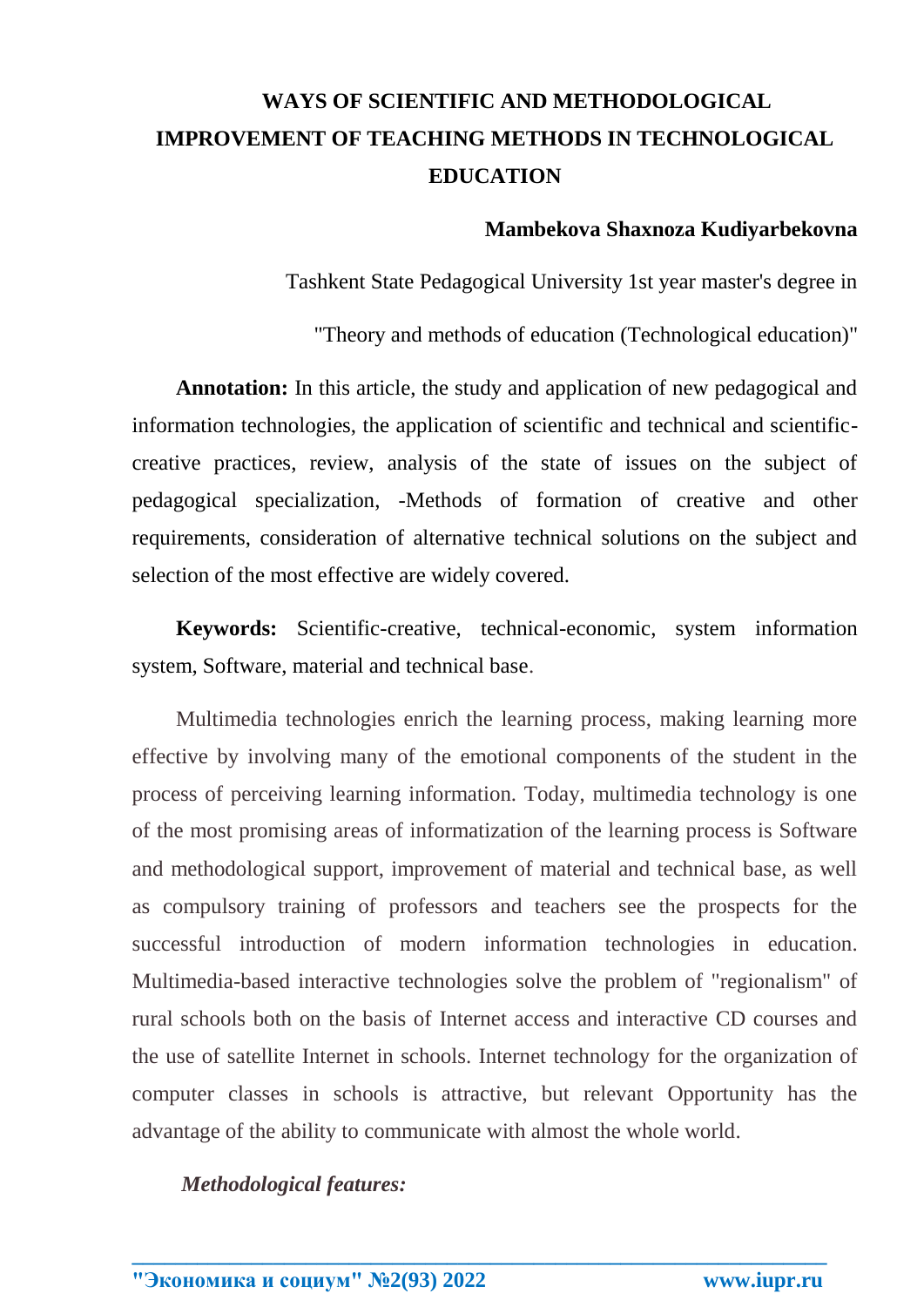# **WAYS OF SCIENTIFIC AND METHODOLOGICAL IMPROVEMENT OF TEACHING METHODS IN TECHNOLOGICAL EDUCATION**

## **Mambekova Shaxnoza Kudiyarbekovna**

Tashkent State Pedagogical University 1st year master's degree in

"Theory and methods of education (Technological education)"

**Annotation:** In this article, the study and application of new pedagogical and information technologies, the application of scientific and technical and scientificcreative practices, review, analysis of the state of issues on the subject of pedagogical specialization, -Methods of formation of creative and other requirements, consideration of alternative technical solutions on the subject and selection of the most effective are widely covered.

**Keywords:** Scientific-creative, technical-economic, system information system, Software, material and technical base.

Multimedia technologies enrich the learning process, making learning more effective by involving many of the emotional components of the student in the process of perceiving learning information. Today, multimedia technology is one of the most promising areas of informatization of the learning process is Software and methodological support, improvement of material and technical base, as well as compulsory training of professors and teachers see the prospects for the successful introduction of modern information technologies in education. Multimedia-based interactive technologies solve the problem of "regionalism" of rural schools both on the basis of Internet access and interactive CD courses and the use of satellite Internet in schools. Internet technology for the organization of computer classes in schools is attractive, but relevant Opportunity has the advantage of the ability to communicate with almost the whole world.

**\_\_\_\_\_\_\_\_\_\_\_\_\_\_\_\_\_\_\_\_\_\_\_\_\_\_\_\_\_\_\_\_\_\_\_\_\_\_\_\_\_\_\_\_\_\_\_\_\_\_\_\_\_\_\_\_\_\_\_\_\_\_\_\_**

*Methodological features:*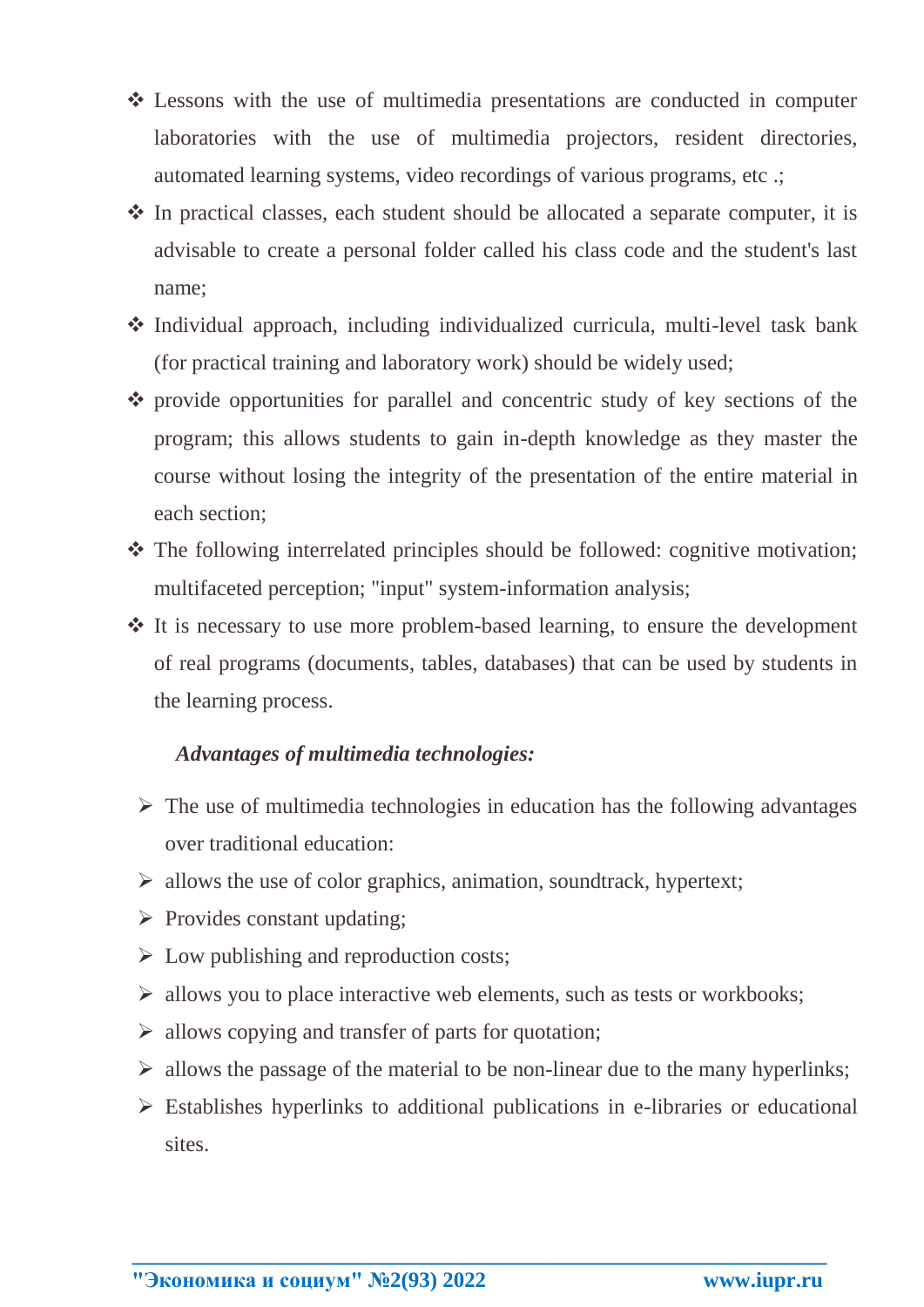- Lessons with the use of multimedia presentations are conducted in computer laboratories with the use of multimedia projectors, resident directories, automated learning systems, video recordings of various programs, etc .;
- $\cdot$  In practical classes, each student should be allocated a separate computer, it is advisable to create a personal folder called his class code and the student's last name;
- Individual approach, including individualized curricula, multi-level task bank (for practical training and laboratory work) should be widely used;
- provide opportunities for parallel and concentric study of key sections of the program; this allows students to gain in-depth knowledge as they master the course without losing the integrity of the presentation of the entire material in each section;
- The following interrelated principles should be followed: cognitive motivation; multifaceted perception; "input" system-information analysis;
- It is necessary to use more problem-based learning, to ensure the development of real programs (documents, tables, databases) that can be used by students in the learning process.

## *Advantages of multimedia technologies:*

- $\triangleright$  The use of multimedia technologies in education has the following advantages over traditional education:
- $\triangleright$  allows the use of color graphics, animation, soundtrack, hypertext;
- $\triangleright$  Provides constant updating;
- $\triangleright$  Low publishing and reproduction costs;
- $\triangleright$  allows you to place interactive web elements, such as tests or workbooks;
- $\triangleright$  allows copying and transfer of parts for quotation;
- $\triangleright$  allows the passage of the material to be non-linear due to the many hyperlinks;
- $\triangleright$  Establishes hyperlinks to additional publications in e-libraries or educational sites.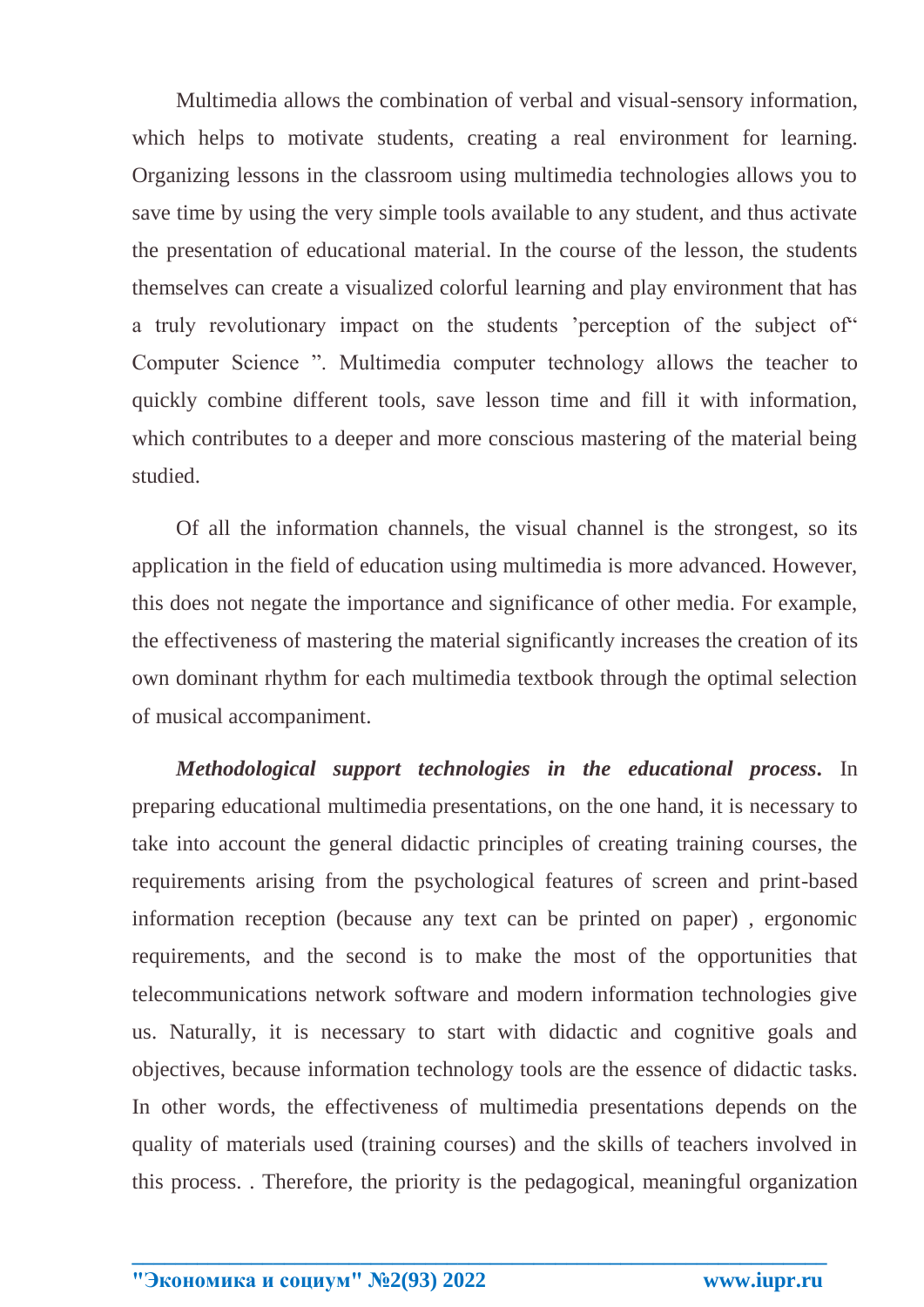Multimedia allows the combination of verbal and visual-sensory information, which helps to motivate students, creating a real environment for learning. Organizing lessons in the classroom using multimedia technologies allows you to save time by using the very simple tools available to any student, and thus activate the presentation of educational material. In the course of the lesson, the students themselves can create a visualized colorful learning and play environment that has a truly revolutionary impact on the students 'perception of the subject of" Computer Science ". Multimedia computer technology allows the teacher to quickly combine different tools, save lesson time and fill it with information, which contributes to a deeper and more conscious mastering of the material being studied.

Of all the information channels, the visual channel is the strongest, so its application in the field of education using multimedia is more advanced. However, this does not negate the importance and significance of other media. For example, the effectiveness of mastering the material significantly increases the creation of its own dominant rhythm for each multimedia textbook through the optimal selection of musical accompaniment.

*Methodological support technologies in the educational process.* In preparing educational multimedia presentations, on the one hand, it is necessary to take into account the general didactic principles of creating training courses, the requirements arising from the psychological features of screen and print-based information reception (because any text can be printed on paper) , ergonomic requirements, and the second is to make the most of the opportunities that telecommunications network software and modern information technologies give us. Naturally, it is necessary to start with didactic and cognitive goals and objectives, because information technology tools are the essence of didactic tasks. In other words, the effectiveness of multimedia presentations depends on the quality of materials used (training courses) and the skills of teachers involved in this process. . Therefore, the priority is the pedagogical, meaningful organization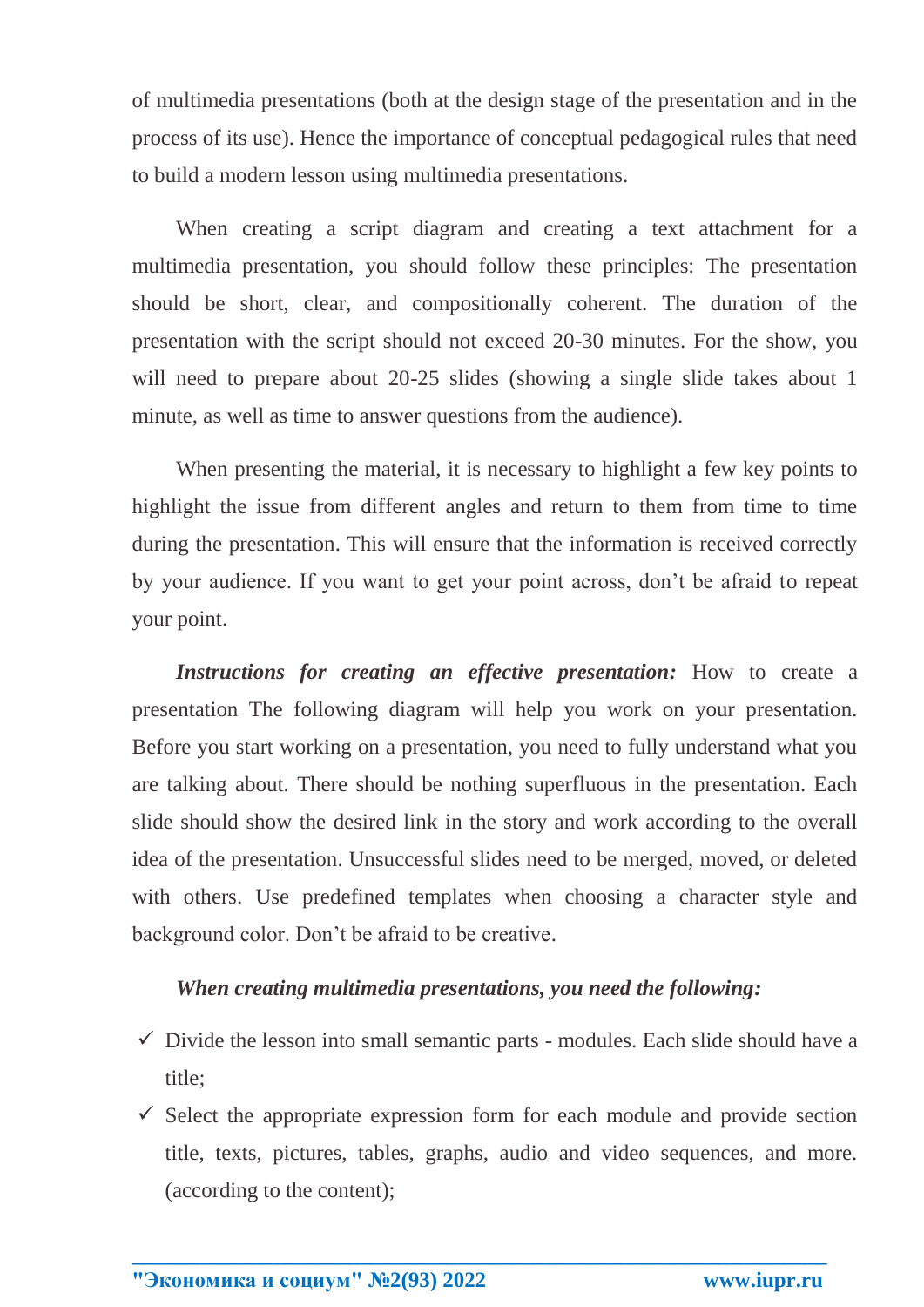of multimedia presentations (both at the design stage of the presentation and in the process of its use). Hence the importance of conceptual pedagogical rules that need to build a modern lesson using multimedia presentations.

When creating a script diagram and creating a text attachment for a multimedia presentation, you should follow these principles: The presentation should be short, clear, and compositionally coherent. The duration of the presentation with the script should not exceed 20-30 minutes. For the show, you will need to prepare about 20-25 slides (showing a single slide takes about 1 minute, as well as time to answer questions from the audience).

When presenting the material, it is necessary to highlight a few key points to highlight the issue from different angles and return to them from time to time during the presentation. This will ensure that the information is received correctly by your audience. If you want to get your point across, don't be afraid to repeat your point.

*Instructions for creating an effective presentation:* How to create a presentation The following diagram will help you work on your presentation. Before you start working on a presentation, you need to fully understand what you are talking about. There should be nothing superfluous in the presentation. Each slide should show the desired link in the story and work according to the overall idea of the presentation. Unsuccessful slides need to be merged, moved, or deleted with others. Use predefined templates when choosing a character style and background color. Don't be afraid to be creative.

## *When creating multimedia presentations, you need the following:*

- $\checkmark$  Divide the lesson into small semantic parts modules. Each slide should have a title;
- $\checkmark$  Select the appropriate expression form for each module and provide section title, texts, pictures, tables, graphs, audio and video sequences, and more. (according to the content);